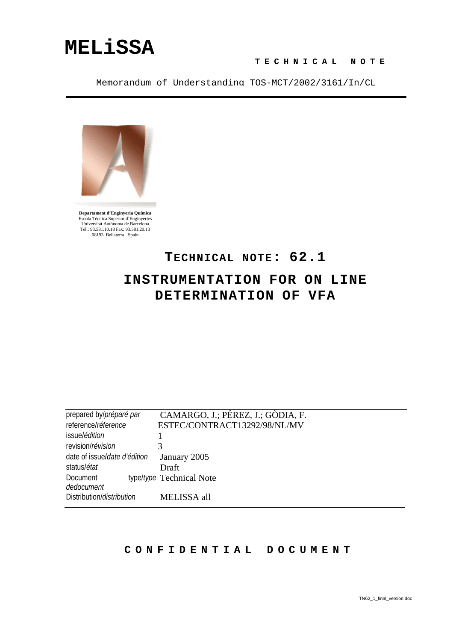

#### **TECHNICAL NOTE**

Memorandum of Understanding TOS-MCT/2002/3161/In/CL



**Departament d'Enginyeria Química**  Escola Tècnica Superior d'Enginyeries Universitat Autònoma de Barcelona Tel.: 93.581.10.18 Fax: 93.581.20.13 08193 Bellaterra Spain

# **TECHNICAL NOTE: 62.1**

# **INSTRUMENTATION FOR ON LINE DETERMINATION OF VFA**

| prepared by/préparé par           | CAMARGO, J.; PÉREZ, J.; GÒDIA, F. |
|-----------------------------------|-----------------------------------|
| reference/réference               | ESTEC/CONTRACT13292/98/NL/MV      |
| issue/édition                     |                                   |
| revision/révision                 |                                   |
| date of issue/date d'édition      | January 2005                      |
| status/ <i>état</i>               | Draft                             |
| Document<br>dedocument            | type/type Technical Note          |
| Distribution/ <i>distribution</i> | MELISSA all                       |

#### **CONFIDENTIAL DOCUMENT**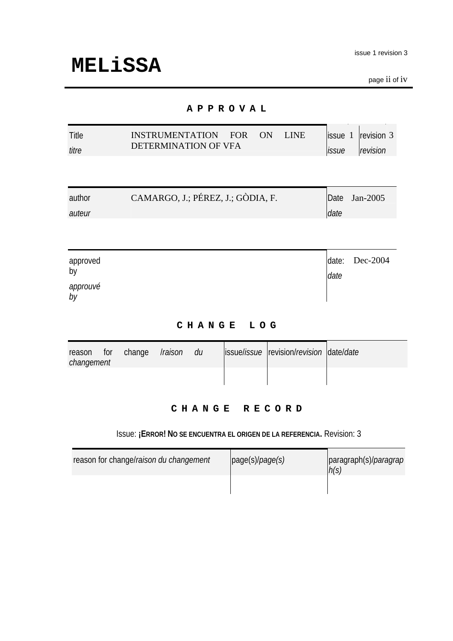page ii of iv

#### **APPROVAL**

| Title<br>titre                   | INSTRUMENTATION FOR<br>ON<br><b>LINE</b><br>DETERMINATION OF VFA | lissue 1 Irevision 3<br>revision<br>issue |
|----------------------------------|------------------------------------------------------------------|-------------------------------------------|
| author<br>auteur                 | CAMARGO, J.; PÉREZ, J.; GÒDIA, F.                                | Date<br>Jan-2005<br>date                  |
| approved<br>by<br>approuvé<br>by |                                                                  | date:<br>Dec-2004<br>date                 |

#### **CHANGE LOG**

| reason for<br>changement | change | Iraison | du | issue/ <i>issue</i>   revision/ <i>revision</i>   date/ <i>date</i> |  |
|--------------------------|--------|---------|----|---------------------------------------------------------------------|--|
|                          |        |         |    |                                                                     |  |

#### **CHANGE RECORD**

## Issue: **¡ERROR! NO SE ENCUENTRA EL ORIGEN DE LA REFERENCIA.** Revision: 3

| reason for change/raison du changement | page(s)/page(s) | paragraph(s)/ <i>paragrap</i><br>h(s) |
|----------------------------------------|-----------------|---------------------------------------|
|                                        |                 |                                       |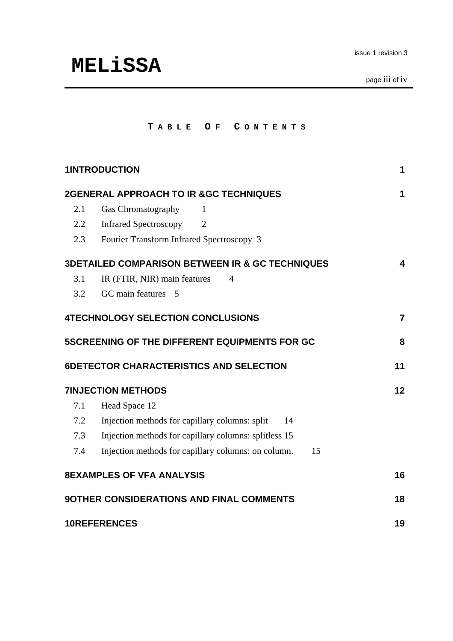issue 1 revision 3

**MELiSSA** 

page iii of iv

| TABLE OF CONTENTS |  |
|-------------------|--|
|-------------------|--|

|               | <b>1INTRODUCTION</b>                              |                                                            | 1              |
|---------------|---------------------------------------------------|------------------------------------------------------------|----------------|
|               | <b>2GENERAL APPROACH TO IR &amp;GC TECHNIQUES</b> |                                                            | 1              |
| 2.1           | Gas Chromatography                                | 1                                                          |                |
| $2.2^{\circ}$ | <b>Infrared Spectroscopy</b>                      | 2                                                          |                |
| 2.3           | Fourier Transform Infrared Spectroscopy 3         |                                                            |                |
|               |                                                   | <b>3DETAILED COMPARISON BETWEEN IR &amp; GC TECHNIQUES</b> | 4              |
| 3.1           | IR (FTIR, NIR) main features                      | $\overline{4}$                                             |                |
| 3.2           | GC main features 5                                |                                                            |                |
|               | <b>4TECHNOLOGY SELECTION CONCLUSIONS</b>          |                                                            | $\overline{7}$ |
|               |                                                   | <b>5SCREENING OF THE DIFFERENT EQUIPMENTS FOR GC</b>       | 8              |
|               |                                                   | 6DETECTOR CHARACTERISTICS AND SELECTION                    | 11             |
|               | <b>7INJECTION METHODS</b>                         |                                                            | 12             |
| 7.1           | Head Space 12                                     |                                                            |                |
| 7.2           | Injection methods for capillary columns: split    | 14                                                         |                |
| 7.3           |                                                   | Injection methods for capillary columns: splitless 15      |                |
| 7.4           |                                                   | Injection methods for capillary columns: on column.<br>15  |                |
|               | <b>8EXAMPLES OF VFA ANALYSIS</b>                  |                                                            | 16             |
|               |                                                   | <b>90THER CONSIDERATIONS AND FINAL COMMENTS</b>            | 18             |
|               | <b>10REFERENCES</b>                               |                                                            | 19             |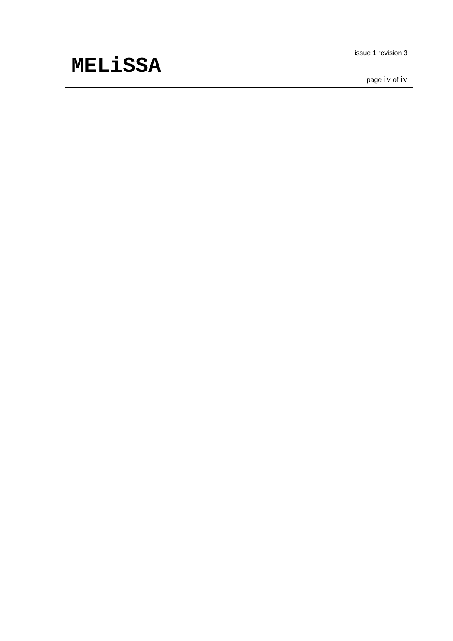issue 1 revision 3

# **MELiSSA**

page iv of iv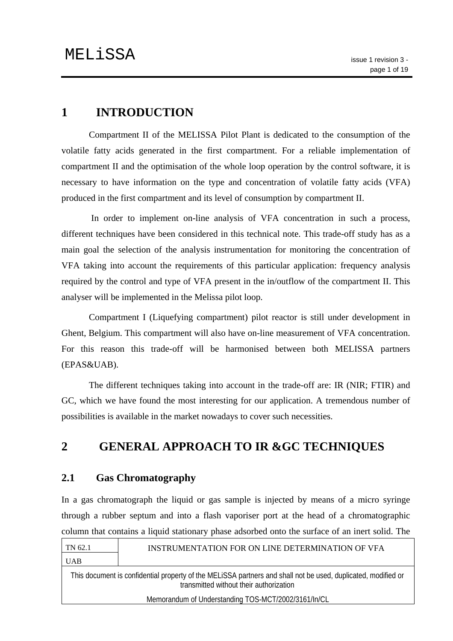## **1 INTRODUCTION**

Compartment II of the MELISSA Pilot Plant is dedicated to the consumption of the volatile fatty acids generated in the first compartment. For a reliable implementation of compartment II and the optimisation of the whole loop operation by the control software, it is necessary to have information on the type and concentration of volatile fatty acids (VFA) produced in the first compartment and its level of consumption by compartment II.

 In order to implement on-line analysis of VFA concentration in such a process, different techniques have been considered in this technical note. This trade-off study has as a main goal the selection of the analysis instrumentation for monitoring the concentration of VFA taking into account the requirements of this particular application: frequency analysis required by the control and type of VFA present in the in/outflow of the compartment II. This analyser will be implemented in the Melissa pilot loop.

Compartment I (Liquefying compartment) pilot reactor is still under development in Ghent, Belgium. This compartment will also have on-line measurement of VFA concentration. For this reason this trade-off will be harmonised between both MELISSA partners (EPAS&UAB).

The different techniques taking into account in the trade-off are: IR (NIR; FTIR) and GC, which we have found the most interesting for our application. A tremendous number of possibilities is available in the market nowadays to cover such necessities.

# **2 GENERAL APPROACH TO IR &GC TECHNIQUES**

#### **2.1 Gas Chromatography**

In a gas chromatograph the liquid or gas sample is injected by means of a micro syringe through a rubber septum and into a flash vaporiser port at the head of a chromatographic column that contains a liquid stationary phase adsorbed onto the surface of an inert solid. The

| TN 62.1                                                                                                                                                  | INSTRUMENTATION FOR ON LINE DETERMINATION OF VFA |
|----------------------------------------------------------------------------------------------------------------------------------------------------------|--------------------------------------------------|
| <b>UAB</b>                                                                                                                                               |                                                  |
| This document is confidential property of the MELISSA partners and shall not be used, duplicated, modified or<br>transmitted without their authorization |                                                  |
| Memorandum of Understanding TOS-MCT/2002/3161/In/CL                                                                                                      |                                                  |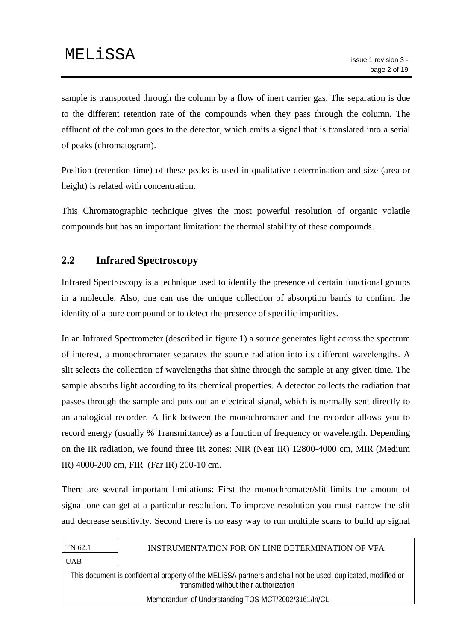sample is transported through the column by a flow of inert carrier gas. The separation is due to the different retention rate of the compounds when they pass through the column. The effluent of the column goes to the detector, which emits a signal that is translated into a serial of peaks (chromatogram).

Position (retention time) of these peaks is used in qualitative determination and size (area or height) is related with concentration.

This Chromatographic technique gives the most powerful resolution of organic volatile compounds but has an important limitation: the thermal stability of these compounds.

### **2.2 Infrared Spectroscopy**

Infrared Spectroscopy is a technique used to identify the presence of certain functional groups in a molecule. Also, one can use the unique collection of absorption bands to confirm the identity of a pure compound or to detect the presence of specific impurities.

In an Infrared Spectrometer (described in figure 1) a source generates light across the spectrum of interest, a monochromater separates the source radiation into its different wavelengths. A slit selects the collection of wavelengths that shine through the sample at any given time. The sample absorbs light according to its chemical properties. A detector collects the radiation that passes through the sample and puts out an electrical signal, which is normally sent directly to an analogical recorder. A link between the monochromater and the recorder allows you to record energy (usually % Transmittance) as a function of frequency or wavelength. Depending on the IR radiation, we found three IR zones: NIR (Near IR) 12800-4000 cm, MIR (Medium IR) 4000-200 cm, FIR (Far IR) 200-10 cm.

There are several important limitations: First the monochromater/slit limits the amount of signal one can get at a particular resolution. To improve resolution you must narrow the slit and decrease sensitivity. Second there is no easy way to run multiple scans to build up signal

| TN 62.1    | INSTRUMENTATION FOR ON LINE DETERMINATION OF VFA                                                          |
|------------|-----------------------------------------------------------------------------------------------------------|
| <b>UAB</b> |                                                                                                           |
|            | This document is confidential property of the MELISSA partners and shall not be used duplicated modified. |

This document is confidential property of the MELiSSA partners and shall not be used, duplicated, modified or transmitted without their authorization

Memorandum of Understanding TOS-MCT/2002/3161/In/CL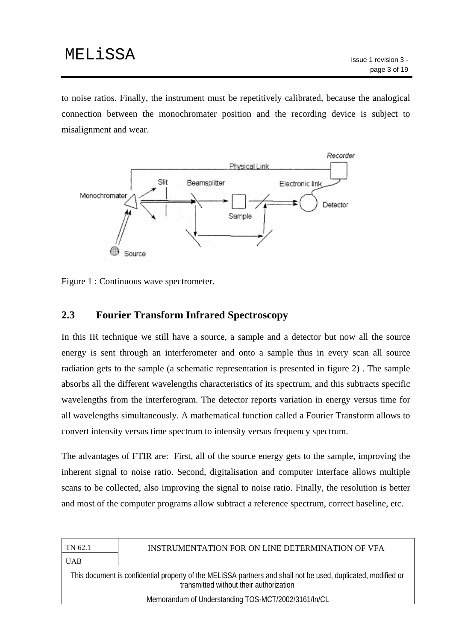to noise ratios. Finally, the instrument must be repetitively calibrated, because the analogical connection between the monochromater position and the recording device is subject to misalignment and wear.



Figure 1 : Continuous wave spectrometer.

### **2.3 Fourier Transform Infrared Spectroscopy**

In this IR technique we still have a source, a sample and a detector but now all the source energy is sent through an interferometer and onto a sample thus in every scan all source radiation gets to the sample (a schematic representation is presented in figure 2) . The sample absorbs all the different wavelengths characteristics of its spectrum, and this subtracts specific wavelengths from the interferogram. The detector reports variation in energy versus time for all wavelengths simultaneously. A mathematical function called a Fourier Transform allows to convert intensity versus time spectrum to intensity versus frequency spectrum.

The advantages of FTIR are: First, all of the source energy gets to the sample, improving the inherent signal to noise ratio. Second, digitalisation and computer interface allows multiple scans to be collected, also improving the signal to noise ratio. Finally, the resolution is better and most of the computer programs allow subtract a reference spectrum, correct baseline, etc.

| TN 62.1                                                                                                                                                  | INSTRUMENTATION FOR ON LINE DETERMINATION OF VFA |
|----------------------------------------------------------------------------------------------------------------------------------------------------------|--------------------------------------------------|
| <b>UAB</b>                                                                                                                                               |                                                  |
| This document is confidential property of the MELISSA partners and shall not be used, duplicated, modified or<br>transmitted without their authorization |                                                  |
| Memorandum of Understanding TOS-MCT/2002/3161/In/CL                                                                                                      |                                                  |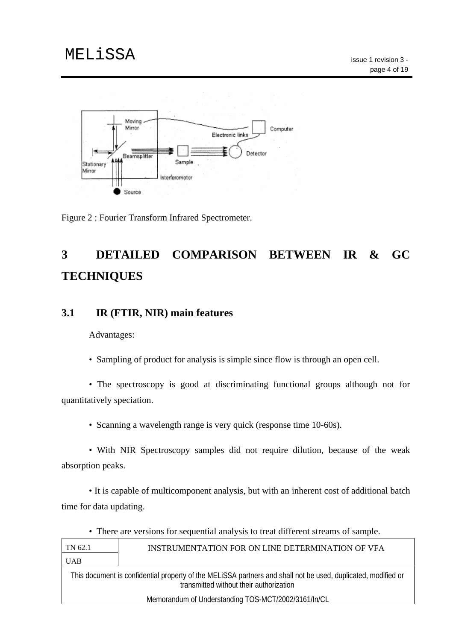

Figure 2 : Fourier Transform Infrared Spectrometer.

# **3 DETAILED COMPARISON BETWEEN IR & GC TECHNIQUES**

## **3.1 IR (FTIR, NIR) main features**

Advantages:

• Sampling of product for analysis is simple since flow is through an open cell.

• The spectroscopy is good at discriminating functional groups although not for quantitatively speciation.

• Scanning a wavelength range is very quick (response time 10-60s).

• With NIR Spectroscopy samples did not require dilution, because of the weak absorption peaks.

• It is capable of multicomponent analysis, but with an inherent cost of additional batch time for data updating.

• There are versions for sequential analysis to treat different streams of sample.

| TN 62.1                                                                                                                                                  | INSTRUMENTATION FOR ON LINE DETERMINATION OF VFA |
|----------------------------------------------------------------------------------------------------------------------------------------------------------|--------------------------------------------------|
| <b>UAB</b>                                                                                                                                               |                                                  |
| This document is confidential property of the MELISSA partners and shall not be used, duplicated, modified or<br>transmitted without their authorization |                                                  |
| Memorandum of Understanding TOS-MCT/2002/3161/In/CL                                                                                                      |                                                  |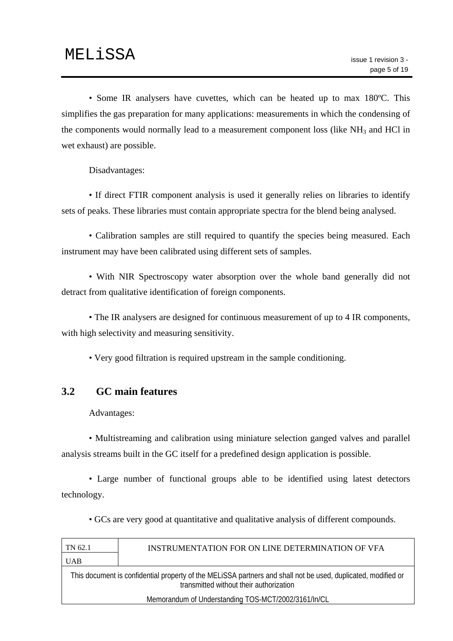• Some IR analysers have cuvettes, which can be heated up to max 180°C. This simplifies the gas preparation for many applications: measurements in which the condensing of the components would normally lead to a measurement component loss (like  $NH<sub>3</sub>$  and HCl in wet exhaust) are possible.

Disadvantages:

• If direct FTIR component analysis is used it generally relies on libraries to identify sets of peaks. These libraries must contain appropriate spectra for the blend being analysed.

• Calibration samples are still required to quantify the species being measured. Each instrument may have been calibrated using different sets of samples.

• With NIR Spectroscopy water absorption over the whole band generally did not detract from qualitative identification of foreign components.

• The IR analysers are designed for continuous measurement of up to 4 IR components, with high selectivity and measuring sensitivity.

• Very good filtration is required upstream in the sample conditioning.

## **3.2 GC main features**

Advantages:

• Multistreaming and calibration using miniature selection ganged valves and parallel analysis streams built in the GC itself for a predefined design application is possible.

• Large number of functional groups able to be identified using latest detectors technology.

• GCs are very good at quantitative and qualitative analysis of different compounds.

| TN 62.1                                                                                                                                                  | INSTRUMENTATION FOR ON LINE DETERMINATION OF VFA |
|----------------------------------------------------------------------------------------------------------------------------------------------------------|--------------------------------------------------|
| <b>UAB</b>                                                                                                                                               |                                                  |
| This document is confidential property of the MELISSA partners and shall not be used, duplicated, modified or<br>transmitted without their authorization |                                                  |
| Memorandum of Understanding TOS-MCT/2002/3161/In/CL                                                                                                      |                                                  |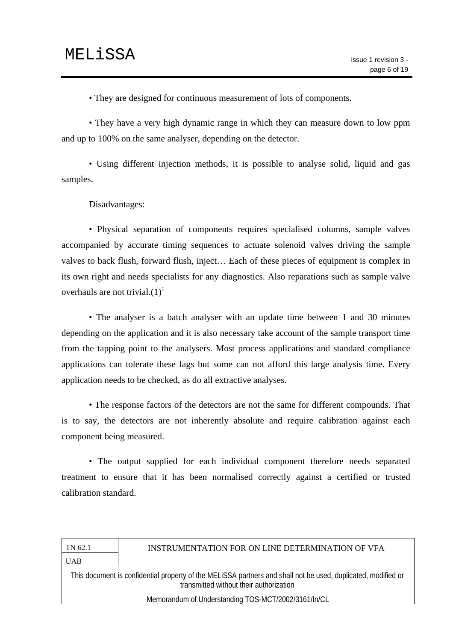• They are designed for continuous measurement of lots of components.

• They have a very high dynamic range in which they can measure down to low ppm and up to 100% on the same analyser, depending on the detector.

• Using different injection methods, it is possible to analyse solid, liquid and gas samples.

#### Disadvantages:

• Physical separation of components requires specialised columns, sample valves accompanied by accurate timing sequences to actuate solenoid valves driving the sample valves to back flush, forward flush, inject… Each of these pieces of equipment is complex in its own right and needs specialists for any diagnostics. Also reparations such as sample valve overhauls are not trivial. $(1)^{1}$ 

• The analyser is a batch analyser with an update time between 1 and 30 minutes depending on the application and it is also necessary take account of the sample transport time from the tapping point to the analysers. Most process applications and standard compliance applications can tolerate these lags but some can not afford this large analysis time. Every application needs to be checked, as do all extractive analyses.

• The response factors of the detectors are not the same for different compounds. That is to say, the detectors are not inherently absolute and require calibration against each component being measured.

• The output supplied for each individual component therefore needs separated treatment to ensure that it has been normalised correctly against a certified or trusted calibration standard.

| TN 62.1                                                                                                                                                  | INSTRUMENTATION FOR ON LINE DETERMINATION OF VFA |
|----------------------------------------------------------------------------------------------------------------------------------------------------------|--------------------------------------------------|
| <b>UAB</b>                                                                                                                                               |                                                  |
| This document is confidential property of the MELISSA partners and shall not be used, duplicated, modified or<br>transmitted without their authorization |                                                  |
| Memorandum of Understanding TOS-MCT/2002/3161/In/CL                                                                                                      |                                                  |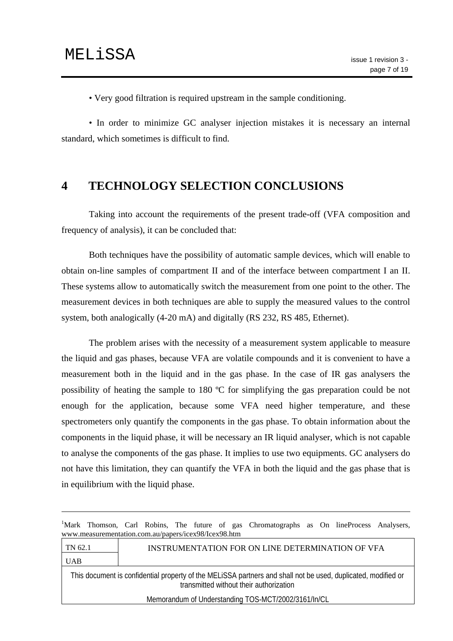$\overline{a}$ 

• Very good filtration is required upstream in the sample conditioning.

• In order to minimize GC analyser injection mistakes it is necessary an internal standard, which sometimes is difficult to find.

# **4 TECHNOLOGY SELECTION CONCLUSIONS**

Taking into account the requirements of the present trade-off (VFA composition and frequency of analysis), it can be concluded that:

Both techniques have the possibility of automatic sample devices, which will enable to obtain on-line samples of compartment II and of the interface between compartment I an II. These systems allow to automatically switch the measurement from one point to the other. The measurement devices in both techniques are able to supply the measured values to the control system, both analogically (4-20 mA) and digitally (RS 232, RS 485, Ethernet).

The problem arises with the necessity of a measurement system applicable to measure the liquid and gas phases, because VFA are volatile compounds and it is convenient to have a measurement both in the liquid and in the gas phase. In the case of IR gas analysers the possibility of heating the sample to 180 ºC for simplifying the gas preparation could be not enough for the application, because some VFA need higher temperature, and these spectrometers only quantify the components in the gas phase. To obtain information about the components in the liquid phase, it will be necessary an IR liquid analyser, which is not capable to analyse the components of the gas phase. It implies to use two equipments. GC analysers do not have this limitation, they can quantify the VFA in both the liquid and the gas phase that is in equilibrium with the liquid phase.

<sup>1</sup>Mark Thomson, Carl Robins, The future of gas Chromatographs as On lineProcess Analysers, www.measurementation.com.au/papers/icex98/Icex98.htm

| TN 62.1                                             | INSTRUMENTATION FOR ON LINE DETERMINATION OF VFA                                                                                                         |  |
|-----------------------------------------------------|----------------------------------------------------------------------------------------------------------------------------------------------------------|--|
| <b>UAB</b>                                          |                                                                                                                                                          |  |
|                                                     | This document is confidential property of the MELISSA partners and shall not be used, duplicated, modified or<br>transmitted without their authorization |  |
| Memorandum of Understanding TOS-MCT/2002/3161/In/CL |                                                                                                                                                          |  |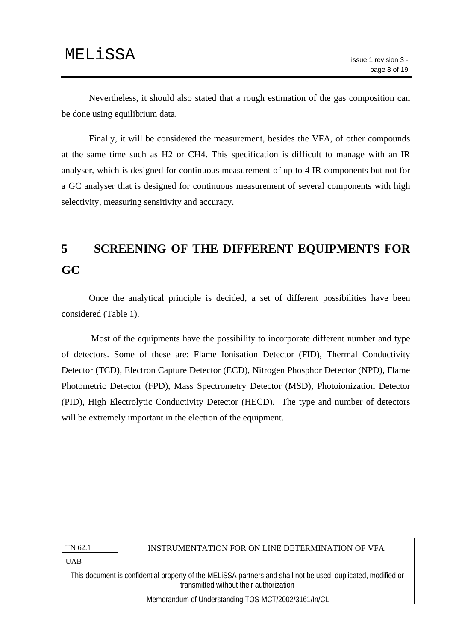Nevertheless, it should also stated that a rough estimation of the gas composition can be done using equilibrium data.

Finally, it will be considered the measurement, besides the VFA, of other compounds at the same time such as H2 or CH4. This specification is difficult to manage with an IR analyser, which is designed for continuous measurement of up to 4 IR components but not for a GC analyser that is designed for continuous measurement of several components with high selectivity, measuring sensitivity and accuracy.

# **5 SCREENING OF THE DIFFERENT EQUIPMENTS FOR GC**

Once the analytical principle is decided, a set of different possibilities have been considered (Table 1).

 Most of the equipments have the possibility to incorporate different number and type of detectors. Some of these are: Flame Ionisation Detector (FID), Thermal Conductivity Detector (TCD), Electron Capture Detector (ECD), Nitrogen Phosphor Detector (NPD), Flame Photometric Detector (FPD), Mass Spectrometry Detector (MSD), Photoionization Detector (PID), High Electrolytic Conductivity Detector (HECD). The type and number of detectors will be extremely important in the election of the equipment.

| TN 62.1    | INSTRUMENTATION FOR ON LINE DETERMINATION OF VFA                                                                                                         |  |  |
|------------|----------------------------------------------------------------------------------------------------------------------------------------------------------|--|--|
| <b>UAB</b> |                                                                                                                                                          |  |  |
|            | This document is confidential property of the MELISSA partners and shall not be used, duplicated, modified or<br>transmitted without their authorization |  |  |
|            | Memorandum of Understanding TOS-MCT/2002/3161/In/CL                                                                                                      |  |  |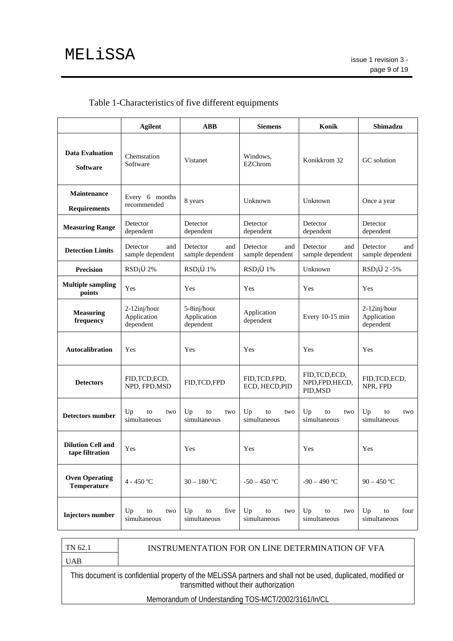|                                             | <b>Agilent</b>                              | <b>ABB</b>                                 | <b>Siemens</b>                      | Konik                                       | Shimadzu                                   |
|---------------------------------------------|---------------------------------------------|--------------------------------------------|-------------------------------------|---------------------------------------------|--------------------------------------------|
| <b>Data Evaluation</b><br><b>Software</b>   | Chemstation<br>Software                     | Vistanet                                   | Windows,<br><b>EZChrom</b>          | Konikkrom 32                                | GC solution                                |
| Maintenance<br><b>Requirements</b>          | Every 6 months<br>recommended               | 8 years                                    | Unknown                             | Unknown                                     | Once a year                                |
| <b>Measuring Range</b>                      | Detector<br>dependent                       | Detector<br>dependent                      | Detector<br>dependent               | Detector<br>dependent                       | Detector<br>dependent                      |
| <b>Detection Limits</b>                     | Detector<br>and<br>sample dependent         | Detector<br>and<br>sample dependent        | Detector<br>and<br>sample dependent | Detector<br>and<br>sample dependent         | Detector<br>and<br>sample dependent        |
| <b>Precision</b>                            | $RSD$ <sub>i</sub> Ü 2%                     | $RSD$ <sub>i</sub> Ü 1%                    | $RSD$ <sub>i</sub> Ü 1%             | Unknown                                     | $RSD$ <sub>i</sub> Ü 2 -5%                 |
| <b>Multiple sampling</b><br>points          | Yes                                         | Yes                                        | Yes                                 | Yes                                         | Yes                                        |
| <b>Measuring</b><br>frequency               | $2-12$ inj/hour<br>Application<br>dependent | $5-8$ inj/hour<br>Application<br>dependent | Application<br>dependent            | Every 10-15 min                             | $2-12inj/hour$<br>Application<br>dependent |
| Autocalibration                             | Yes                                         | Yes                                        | Yes                                 | Yes                                         | Yes                                        |
| <b>Detectors</b>                            | FID, TCD, ECD,<br>NPD, FPD, MSD             | FID,TCD,FPD                                | FID, TCD, FPD,<br>ECD, HECD, PID    | FID, TCD, ECD,<br>NPD,FPD,HECD,<br>PID, MSD | FID, TCD, ECD,<br>NPR, FPD                 |
| <b>Detectors number</b>                     | Up<br>to<br>two<br>simultaneous             | Up<br>to<br>two<br>simultaneous            | Up<br>to<br>two<br>simultaneous     | Up<br>to<br>two<br>simultaneous             | Up<br>to<br>two<br>simultaneous            |
| <b>Dilution Cell and</b><br>tape filtration | Yes                                         | Yes                                        | Yes                                 | Yes                                         | Yes                                        |
| <b>Oven Operating</b><br>Temperature        | 4 - 450 °C                                  | $30 - 180$ °C                              | $-50 - 450$ °C                      | $-90 - 490$ °C                              | $90 - 450$ °C                              |
| <b>Injectors</b> number                     | Up<br>to<br>two<br>simultaneous             | Up<br>to<br>five<br>simultaneous           | Up<br>to<br>two<br>simultaneous     | Up<br>to<br>two<br>simultaneous             | Up<br>to<br>four<br>simultaneous           |

INSTRUMENTATION FOR ON LINE DETERMINATION OF VFA

UAB

This document is confidential property of the MELiSSA partners and shall not be used, duplicated, modified or transmitted without their authorization

Memorandum of Understanding TOS-MCT/2002/3161/In/CL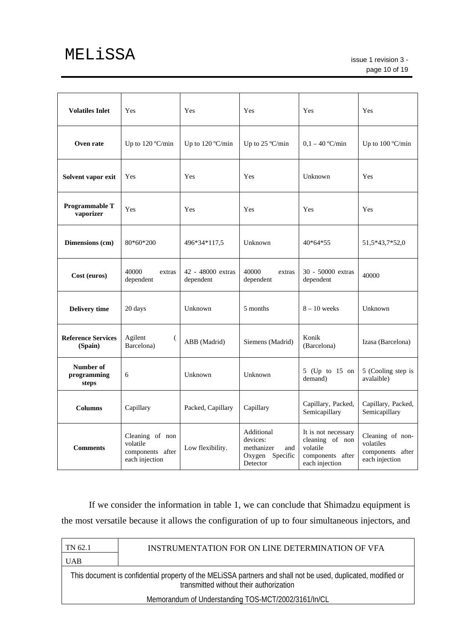| <b>Volatiles Inlet</b>               | Yes                                                               | Yes                            | Yes                                                                           | Yes                                                                                      | Yes                                                                 |
|--------------------------------------|-------------------------------------------------------------------|--------------------------------|-------------------------------------------------------------------------------|------------------------------------------------------------------------------------------|---------------------------------------------------------------------|
| Oven rate                            | Up to 120 °C/min                                                  | Up to $120^{\circ}$ C/min      | Up to 25 °C/min                                                               | $0,1 - 40$ °C/min                                                                        | Up to 100 °C/min                                                    |
| Solvent vapor exit                   | Yes                                                               | Yes                            | Yes                                                                           | Unknown                                                                                  | Yes                                                                 |
| Programmable T<br>vaporizer          | Yes                                                               | Yes                            | Yes                                                                           | Yes                                                                                      | Yes                                                                 |
| Dimensions (cm)                      | 80*60*200                                                         | 496*34*117,5                   | Unknown                                                                       | 40*64*55                                                                                 | 51,5*43,7*52,0                                                      |
| Cost (euros)                         | 40000<br>extras<br>dependent                                      | 42 - 48000 extras<br>dependent | 40000<br>extras<br>dependent                                                  | 30 - 50000 extras<br>dependent                                                           | 40000                                                               |
| <b>Delivery</b> time                 | 20 days                                                           | Unknown                        | 5 months                                                                      | $8 - 10$ weeks                                                                           | Unknown                                                             |
| <b>Reference Services</b><br>(Spain) | Agilent<br>€<br>Barcelona)                                        | ABB (Madrid)                   | Siemens (Madrid)                                                              | Konik<br>(Barcelona)                                                                     | Izasa (Barcelona)                                                   |
| Number of<br>programming<br>steps    | 6                                                                 | Unknown                        | Unknown                                                                       | 5 (Up to 15 on<br>demand)                                                                | 5 (Cooling step is<br>avalaible)                                    |
| <b>Columns</b>                       | Capillary                                                         | Packed, Capillary              | Capillary                                                                     | Capillary, Packed,<br>Semicapillary                                                      | Capillary, Packed,<br>Semicapillary                                 |
| <b>Comments</b>                      | Cleaning of non<br>volatile<br>components after<br>each injection | Low flexibility.               | Additional<br>devices:<br>methanizer<br>and<br>Oxygen<br>Specific<br>Detector | It is not necessary<br>cleaning of non<br>volatile<br>components after<br>each injection | Cleaning of non-<br>volatiles<br>components after<br>each injection |

If we consider the information in table 1, we can conclude that Shimadzu equipment is the most versatile because it allows the configuration of up to four simultaneous injectors, and

| TN 62.1                                             | INSTRUMENTATION FOR ON LINE DETERMINATION OF VFA                                                                                                         |  |
|-----------------------------------------------------|----------------------------------------------------------------------------------------------------------------------------------------------------------|--|
| <b>UAB</b>                                          |                                                                                                                                                          |  |
|                                                     | This document is confidential property of the MELISSA partners and shall not be used, duplicated, modified or<br>transmitted without their authorization |  |
| Memorandum of Understanding TOS-MCT/2002/3161/In/CL |                                                                                                                                                          |  |
|                                                     |                                                                                                                                                          |  |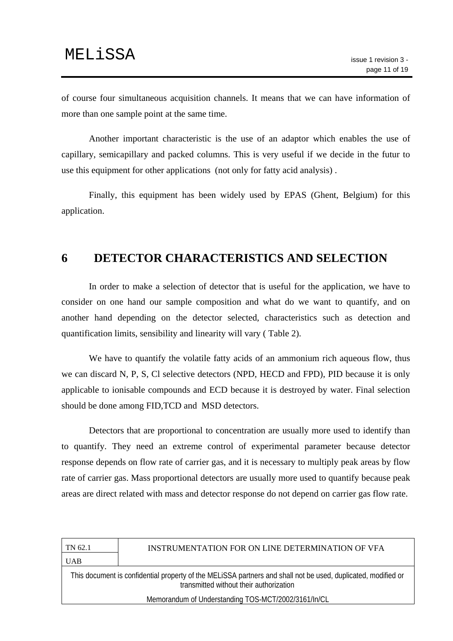of course four simultaneous acquisition channels. It means that we can have information of more than one sample point at the same time.

Another important characteristic is the use of an adaptor which enables the use of capillary, semicapillary and packed columns. This is very useful if we decide in the futur to use this equipment for other applications (not only for fatty acid analysis) .

Finally, this equipment has been widely used by EPAS (Ghent, Belgium) for this application.

# **6 DETECTOR CHARACTERISTICS AND SELECTION**

In order to make a selection of detector that is useful for the application, we have to consider on one hand our sample composition and what do we want to quantify, and on another hand depending on the detector selected, characteristics such as detection and quantification limits, sensibility and linearity will vary ( Table 2).

We have to quantify the volatile fatty acids of an ammonium rich aqueous flow, thus we can discard N, P, S, Cl selective detectors (NPD, HECD and FPD), PID because it is only applicable to ionisable compounds and ECD because it is destroyed by water. Final selection should be done among FID,TCD and MSD detectors.

Detectors that are proportional to concentration are usually more used to identify than to quantify. They need an extreme control of experimental parameter because detector response depends on flow rate of carrier gas, and it is necessary to multiply peak areas by flow rate of carrier gas. Mass proportional detectors are usually more used to quantify because peak areas are direct related with mass and detector response do not depend on carrier gas flow rate.

| TN 62.1                                             | INSTRUMENTATION FOR ON LINE DETERMINATION OF VFA                                                                                                         |  |
|-----------------------------------------------------|----------------------------------------------------------------------------------------------------------------------------------------------------------|--|
| <b>UAB</b>                                          |                                                                                                                                                          |  |
|                                                     | This document is confidential property of the MELISSA partners and shall not be used, duplicated, modified or<br>transmitted without their authorization |  |
| Memorandum of Understanding TOS-MCT/2002/3161/In/CL |                                                                                                                                                          |  |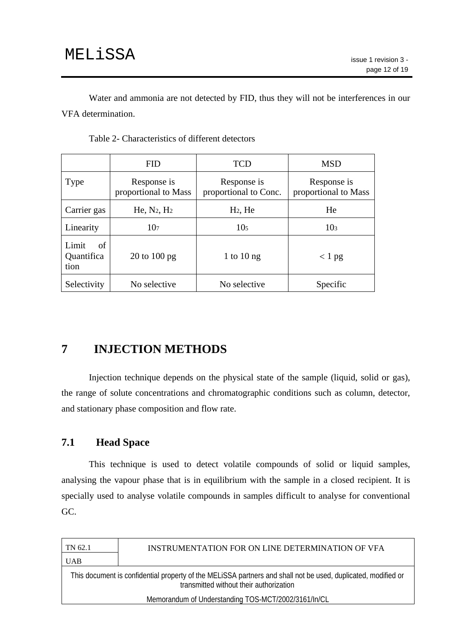Water and ammonia are not detected by FID, thus they will not be interferences in our VFA determination.

|                                   | <b>FID</b>                          | <b>TCD</b>                           | <b>MSD</b>                          |
|-----------------------------------|-------------------------------------|--------------------------------------|-------------------------------------|
| <b>Type</b>                       | Response is<br>proportional to Mass | Response is<br>proportional to Conc. | Response is<br>proportional to Mass |
| Carrier gas                       | He, $N_2$ , $H_2$                   | $H2$ , He                            | He                                  |
| Linearity                         | 107                                 | 10 <sub>5</sub>                      | 10 <sub>3</sub>                     |
| Limit<br>of<br>Quantifica<br>tion | $20$ to $100$ pg                    | 1 to $10$ ng                         | $< 1$ pg                            |
| Selectivity                       | No selective                        | No selective                         | Specific                            |

Table 2- Characteristics of different detectors

# **7 INJECTION METHODS**

Injection technique depends on the physical state of the sample (liquid, solid or gas), the range of solute concentrations and chromatographic conditions such as column, detector, and stationary phase composition and flow rate.

## **7.1 Head Space**

This technique is used to detect volatile compounds of solid or liquid samples, analysing the vapour phase that is in equilibrium with the sample in a closed recipient. It is specially used to analyse volatile compounds in samples difficult to analyse for conventional GC.

| TN 62.1                                             | INSTRUMENTATION FOR ON LINE DETERMINATION OF VFA                                                                                                         |  |
|-----------------------------------------------------|----------------------------------------------------------------------------------------------------------------------------------------------------------|--|
| <b>UAB</b>                                          |                                                                                                                                                          |  |
|                                                     | This document is confidential property of the MELISSA partners and shall not be used, duplicated, modified or<br>transmitted without their authorization |  |
| Memorandum of Understanding TOS-MCT/2002/3161/In/CL |                                                                                                                                                          |  |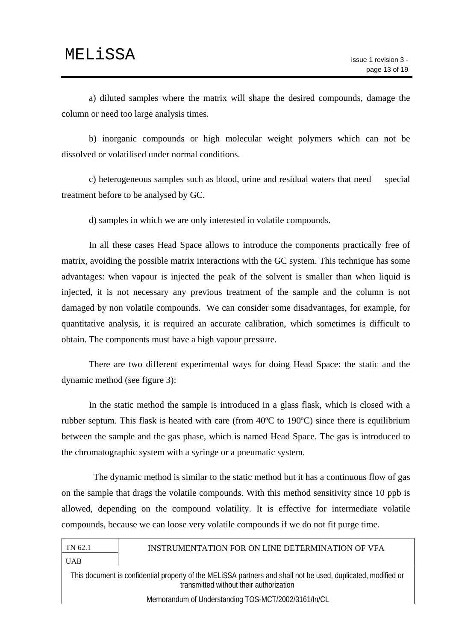a) diluted samples where the matrix will shape the desired compounds, damage the column or need too large analysis times.

b) inorganic compounds or high molecular weight polymers which can not be dissolved or volatilised under normal conditions.

c) heterogeneous samples such as blood, urine and residual waters that need special treatment before to be analysed by GC.

d) samples in which we are only interested in volatile compounds.

In all these cases Head Space allows to introduce the components practically free of matrix, avoiding the possible matrix interactions with the GC system. This technique has some advantages: when vapour is injected the peak of the solvent is smaller than when liquid is injected, it is not necessary any previous treatment of the sample and the column is not damaged by non volatile compounds. We can consider some disadvantages, for example, for quantitative analysis, it is required an accurate calibration, which sometimes is difficult to obtain. The components must have a high vapour pressure.

There are two different experimental ways for doing Head Space: the static and the dynamic method (see figure 3):

In the static method the sample is introduced in a glass flask, which is closed with a rubber septum. This flask is heated with care (from 40ºC to 190ºC) since there is equilibrium between the sample and the gas phase, which is named Head Space. The gas is introduced to the chromatographic system with a syringe or a pneumatic system.

 The dynamic method is similar to the static method but it has a continuous flow of gas on the sample that drags the volatile compounds. With this method sensitivity since 10 ppb is allowed, depending on the compound volatility. It is effective for intermediate volatile compounds, because we can loose very volatile compounds if we do not fit purge time.

| TN 62.1    | INSTRUMENTATION FOR ON LINE DETERMINATION OF VFA                                                                                                         |
|------------|----------------------------------------------------------------------------------------------------------------------------------------------------------|
| <b>UAB</b> |                                                                                                                                                          |
|            | This document is confidential property of the MELISSA partners and shall not be used, duplicated, modified or<br>transmitted without their authorization |

Memorandum of Understanding TOS-MCT/2002/3161/In/CL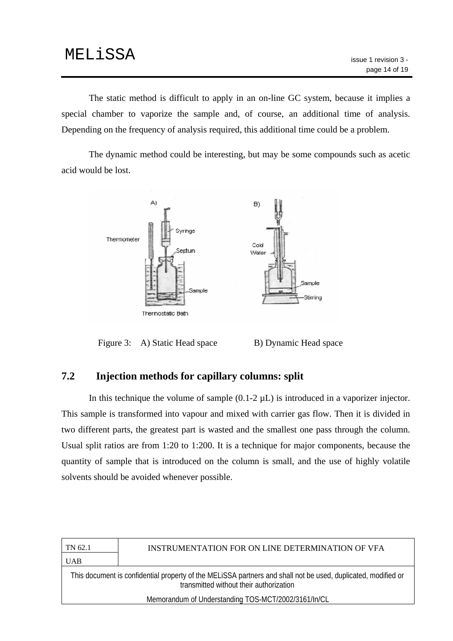The static method is difficult to apply in an on-line GC system, because it implies a special chamber to vaporize the sample and, of course, an additional time of analysis. Depending on the frequency of analysis required, this additional time could be a problem.

The dynamic method could be interesting, but may be some compounds such as acetic acid would be lost.



Figure 3: A) Static Head space B) Dynamic Head space

#### **7.2 Injection methods for capillary columns: split**

In this technique the volume of sample  $(0.1-2 \mu L)$  is introduced in a vaporizer injector. This sample is transformed into vapour and mixed with carrier gas flow. Then it is divided in two different parts, the greatest part is wasted and the smallest one pass through the column. Usual split ratios are from 1:20 to 1:200. It is a technique for major components, because the quantity of sample that is introduced on the column is small, and the use of highly volatile solvents should be avoided whenever possible.

| TN 62.1                                             | INSTRUMENTATION FOR ON LINE DETERMINATION OF VFA                                                                                                         |  |
|-----------------------------------------------------|----------------------------------------------------------------------------------------------------------------------------------------------------------|--|
| <b>UAB</b>                                          |                                                                                                                                                          |  |
|                                                     | This document is confidential property of the MELISSA partners and shall not be used, duplicated, modified or<br>transmitted without their authorization |  |
| Memorandum of Understanding TOS-MCT/2002/3161/In/CL |                                                                                                                                                          |  |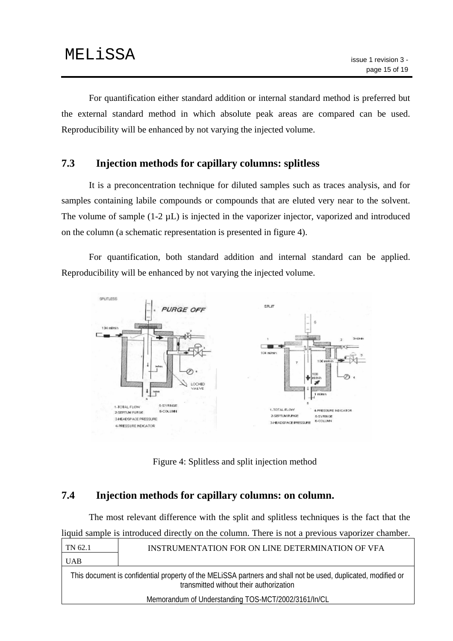For quantification either standard addition or internal standard method is preferred but the external standard method in which absolute peak areas are compared can be used. Reproducibility will be enhanced by not varying the injected volume.

#### **7.3 Injection methods for capillary columns: splitless**

It is a preconcentration technique for diluted samples such as traces analysis, and for samples containing labile compounds or compounds that are eluted very near to the solvent. The volume of sample  $(1-2 \mu L)$  is injected in the vaporizer injector, vaporized and introduced on the column (a schematic representation is presented in figure 4).

For quantification, both standard addition and internal standard can be applied. Reproducibility will be enhanced by not varying the injected volume.



Figure 4: Splitless and split injection method

## **7.4 Injection methods for capillary columns: on column.**

The most relevant difference with the split and splitless techniques is the fact that the liquid sample is introduced directly on the column. There is not a previous vaporizer chamber.

| TN 62.1                                                                                                                                                  | INSTRUMENTATION FOR ON LINE DETERMINATION OF VFA |  |
|----------------------------------------------------------------------------------------------------------------------------------------------------------|--------------------------------------------------|--|
| <b>UAB</b>                                                                                                                                               |                                                  |  |
| This document is confidential property of the MELISSA partners and shall not be used, duplicated, modified or<br>transmitted without their authorization |                                                  |  |
| Memorandum of Understanding TOS-MCT/2002/3161/In/CL                                                                                                      |                                                  |  |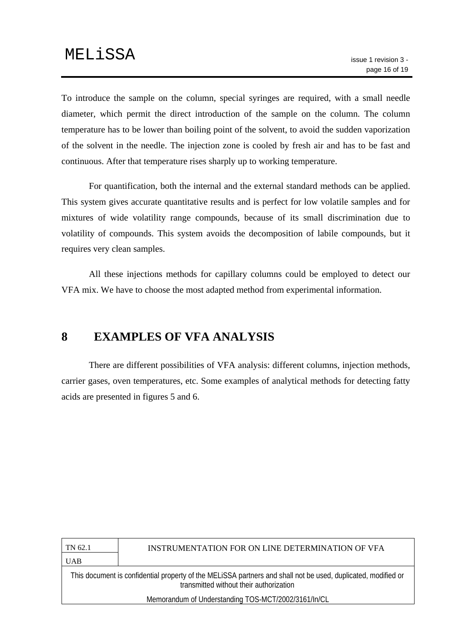To introduce the sample on the column, special syringes are required, with a small needle diameter, which permit the direct introduction of the sample on the column. The column temperature has to be lower than boiling point of the solvent, to avoid the sudden vaporization of the solvent in the needle. The injection zone is cooled by fresh air and has to be fast and continuous. After that temperature rises sharply up to working temperature.

For quantification, both the internal and the external standard methods can be applied. This system gives accurate quantitative results and is perfect for low volatile samples and for mixtures of wide volatility range compounds, because of its small discrimination due to volatility of compounds. This system avoids the decomposition of labile compounds, but it requires very clean samples.

All these injections methods for capillary columns could be employed to detect our VFA mix. We have to choose the most adapted method from experimental information.

# **8 EXAMPLES OF VFA ANALYSIS**

There are different possibilities of VFA analysis: different columns, injection methods, carrier gases, oven temperatures, etc. Some examples of analytical methods for detecting fatty acids are presented in figures 5 and 6.

| TN 62.1                                                                                                                                                  | INSTRUMENTATION FOR ON LINE DETERMINATION OF VFA |
|----------------------------------------------------------------------------------------------------------------------------------------------------------|--------------------------------------------------|
| <b>UAB</b>                                                                                                                                               |                                                  |
| This document is confidential property of the MELISSA partners and shall not be used, duplicated, modified or<br>transmitted without their authorization |                                                  |
| Memorandum of Understanding TOS-MCT/2002/3161/In/CL                                                                                                      |                                                  |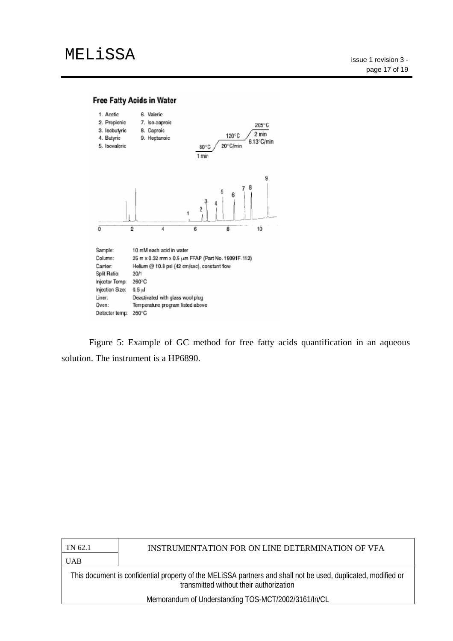#### Free Fatty Acids in Water



Figure 5: Example of GC method for free fatty acids quantification in an aqueous solution. The instrument is a HP6890.

| TN 62.1                                                                                                                                                  | INSTRUMENTATION FOR ON LINE DETERMINATION OF VFA |  |
|----------------------------------------------------------------------------------------------------------------------------------------------------------|--------------------------------------------------|--|
| <b>UAB</b>                                                                                                                                               |                                                  |  |
| This document is confidential property of the MELISSA partners and shall not be used, duplicated, modified or<br>transmitted without their authorization |                                                  |  |
| Memorandum of Understanding TOS-MCT/2002/3161/In/CL                                                                                                      |                                                  |  |
|                                                                                                                                                          |                                                  |  |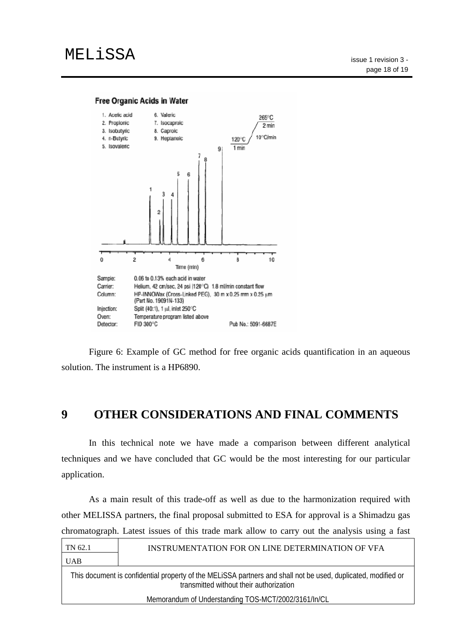

Free Organic Acids in Water

Figure 6: Example of GC method for free organic acids quantification in an aqueous solution. The instrument is a HP6890.

# **9 OTHER CONSIDERATIONS AND FINAL COMMENTS**

In this technical note we have made a comparison between different analytical techniques and we have concluded that GC would be the most interesting for our particular application.

As a main result of this trade-off as well as due to the harmonization required with other MELISSA partners, the final proposal submitted to ESA for approval is a Shimadzu gas chromatograph. Latest issues of this trade mark allow to carry out the analysis using a fast

| TN 62.1                                                                                                                                                  | INSTRUMENTATION FOR ON LINE DETERMINATION OF VFA |  |
|----------------------------------------------------------------------------------------------------------------------------------------------------------|--------------------------------------------------|--|
| <b>UAB</b>                                                                                                                                               |                                                  |  |
| This document is confidential property of the MELISSA partners and shall not be used, duplicated, modified or<br>transmitted without their authorization |                                                  |  |
| Memorandum of Understanding TOS-MCT/2002/3161/In/CL                                                                                                      |                                                  |  |